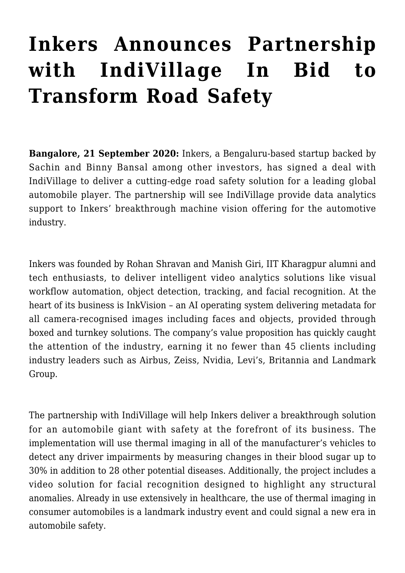# **[Inkers Announces Partnership](http://indivillage.com/blog/2020/12/03/inkers-announces-partnership-with-indivillage-in-bid-to-transform-road-safety/) [with IndiVillage In Bid to](http://indivillage.com/blog/2020/12/03/inkers-announces-partnership-with-indivillage-in-bid-to-transform-road-safety/) [Transform Road Safety](http://indivillage.com/blog/2020/12/03/inkers-announces-partnership-with-indivillage-in-bid-to-transform-road-safety/)**

**Bangalore, 21 September 2020:** Inkers, a Bengaluru-based startup backed by Sachin and Binny Bansal among other investors, has signed a deal with IndiVillage to deliver a cutting-edge road safety solution for a leading global automobile player. The partnership will see IndiVillage provide data analytics support to Inkers' breakthrough machine vision offering for the automotive industry.

Inkers was founded by Rohan Shravan and Manish Giri, IIT Kharagpur alumni and tech enthusiasts, to deliver intelligent video analytics solutions like visual workflow automation, object detection, tracking, and facial recognition. At the heart of its business is InkVision – an AI operating system delivering metadata for all camera-recognised images including faces and objects, provided through boxed and turnkey solutions. The company's value proposition has quickly caught the attention of the industry, earning it no fewer than 45 clients including industry leaders such as Airbus, Zeiss, Nvidia, Levi's, Britannia and Landmark Group.

The partnership with IndiVillage will help Inkers deliver a breakthrough solution for an automobile giant with safety at the forefront of its business. The implementation will use thermal imaging in all of the manufacturer's vehicles to detect any driver impairments by measuring changes in their blood sugar up to 30% in addition to 28 other potential diseases. Additionally, the project includes a video solution for facial recognition designed to highlight any structural anomalies. Already in use extensively in healthcare, the use of thermal imaging in consumer automobiles is a landmark industry event and could signal a new era in automobile safety.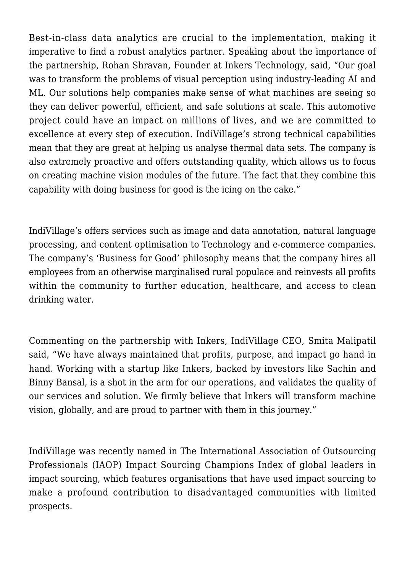Best-in-class data analytics are crucial to the implementation, making it imperative to find a robust analytics partner. Speaking about the importance of the partnership, Rohan Shravan, Founder at Inkers Technology, said, "Our goal was to transform the problems of visual perception using industry-leading AI and ML. Our solutions help companies make sense of what machines are seeing so they can deliver powerful, efficient, and safe solutions at scale. This automotive project could have an impact on millions of lives, and we are committed to excellence at every step of execution. IndiVillage's strong technical capabilities mean that they are great at helping us analyse thermal data sets. The company is also extremely proactive and offers outstanding quality, which allows us to focus on creating machine vision modules of the future. The fact that they combine this capability with doing business for good is the icing on the cake."

IndiVillage's offers services such as image and data annotation, natural language processing, and content optimisation to Technology and e-commerce companies. The company's 'Business for Good' philosophy means that the company hires all employees from an otherwise marginalised rural populace and reinvests all profits within the community to further education, healthcare, and access to clean drinking water.

Commenting on the partnership with Inkers, IndiVillage CEO, Smita Malipatil said, "We have always maintained that profits, purpose, and impact go hand in hand. Working with a startup like Inkers, backed by investors like Sachin and Binny Bansal, is a shot in the arm for our operations, and validates the quality of our services and solution. We firmly believe that Inkers will transform machine vision, globally, and are proud to partner with them in this journey."

IndiVillage was recently named in The International Association of Outsourcing Professionals (IAOP) Impact Sourcing Champions Index of global leaders in impact sourcing, which features organisations that have used impact sourcing to make a profound contribution to disadvantaged communities with limited prospects.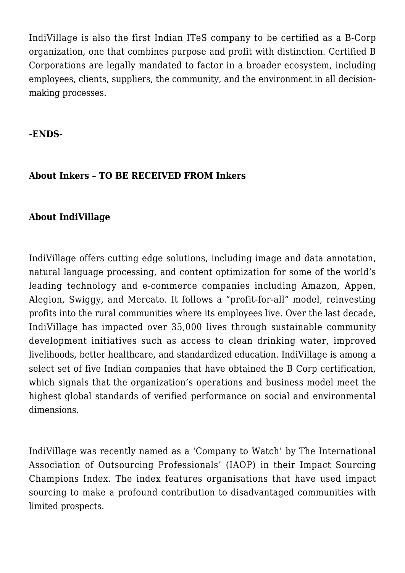IndiVillage is also the first Indian ITeS company to be certified as a B-Corp organization, one that combines purpose and profit with distinction. Certified B Corporations are legally mandated to factor in a broader ecosystem, including employees, clients, suppliers, the community, and the environment in all decisionmaking processes.

#### **-ENDS-**

### **About Inkers – TO BE RECEIVED FROM Inkers**

### **About IndiVillage**

IndiVillage offers cutting edge solutions, including image and data annotation, natural language processing, and content optimization for some of the world's leading technology and e-commerce companies including Amazon, Appen, Alegion, Swiggy, and Mercato. It follows a "profit-for-all" model, reinvesting profits into the rural communities where its employees live. Over the last decade, IndiVillage has impacted over 35,000 lives through sustainable community development initiatives such as access to clean drinking water, improved livelihoods, better healthcare, and standardized education. IndiVillage is among a select set of five Indian companies that have obtained the B Corp certification, which signals that the organization's operations and business model meet the highest global standards of verified performance on social and environmental dimensions.

IndiVillage was recently named as a 'Company to Watch' by The International Association of Outsourcing Professionals' (IAOP) in their Impact Sourcing Champions Index. The index features organisations that have used impact sourcing to make a profound contribution to disadvantaged communities with limited prospects.